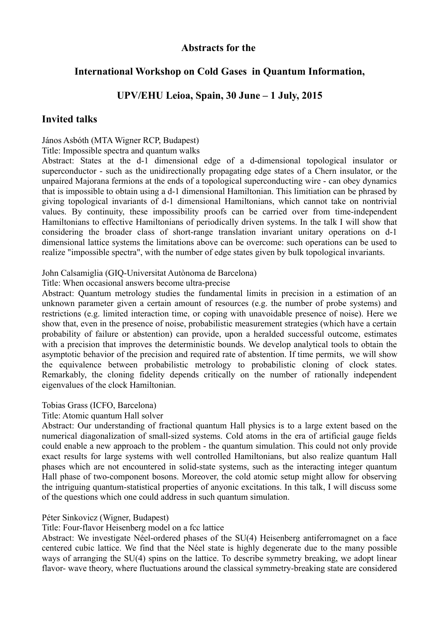# **Abstracts for the**

# **International Workshop on Cold Gases in Quantum Information,**

# **UPV/EHU Leioa, Spain, 30 June – 1 July, 2015**

## **Invited talks**

## János Asbóth (MTA Wigner RCP, Budapest)

#### Title: Impossible spectra and quantum walks

Abstract: States at the d-1 dimensional edge of a d-dimensional topological insulator or superconductor - such as the unidirectionally propagating edge states of a Chern insulator, or the unpaired Majorana fermions at the ends of a topological superconducting wire - can obey dynamics that is impossible to obtain using a d-1 dimensional Hamiltonian. This limitiation can be phrased by giving topological invariants of d-1 dimensional Hamiltonians, which cannot take on nontrivial values. By continuity, these impossibility proofs can be carried over from time-independent Hamiltonians to effective Hamiltonians of periodically driven systems. In the talk I will show that considering the broader class of short-range translation invariant unitary operations on d-1 dimensional lattice systems the limitations above can be overcome: such operations can be used to realize "impossible spectra", with the number of edge states given by bulk topological invariants.

## John Calsamiglia (GIQ-Universitat Autònoma de Barcelona)

## Title: When occasional answers become ultra-precise

Abstract: Quantum metrology studies the fundamental limits in precision in a estimation of an unknown parameter given a certain amount of resources (e.g. the number of probe systems) and restrictions (e.g. limited interaction time, or coping with unavoidable presence of noise). Here we show that, even in the presence of noise, probabilistic measurement strategies (which have a certain probability of failure or abstention) can provide, upon a heralded successful outcome, estimates with a precision that improves the deterministic bounds. We develop analytical tools to obtain the asymptotic behavior of the precision and required rate of abstention. If time permits, we will show the equivalence between probabilistic metrology to probabilistic cloning of clock states. Remarkably, the cloning fidelity depends critically on the number of rationally independent eigenvalues of the clock Hamiltonian.

## Tobias Grass (ICFO, Barcelona)

## Title: Atomic quantum Hall solver

Abstract: Our understanding of fractional quantum Hall physics is to a large extent based on the numerical diagonalization of small-sized systems. Cold atoms in the era of artificial gauge fields could enable a new approach to the problem - the quantum simulation. This could not only provide exact results for large systems with well controlled Hamiltonians, but also realize quantum Hall phases which are not encountered in solid-state systems, such as the interacting integer quantum Hall phase of two-component bosons. Moreover, the cold atomic setup might allow for observing the intriguing quantum-statistical properties of anyonic excitations. In this talk, I will discuss some of the questions which one could address in such quantum simulation.

## Péter Sinkovicz (Wigner, Budapest)

## Title: Four-flavor Heisenberg model on a fcc lattice

Abstract: We investigate Néel-ordered phases of the SU(4) Heisenberg antiferromagnet on a face centered cubic lattice. We find that the Néel state is highly degenerate due to the many possible ways of arranging the SU(4) spins on the lattice. To describe symmetry breaking, we adopt linear flavor- wave theory, where fluctuations around the classical symmetry-breaking state are considered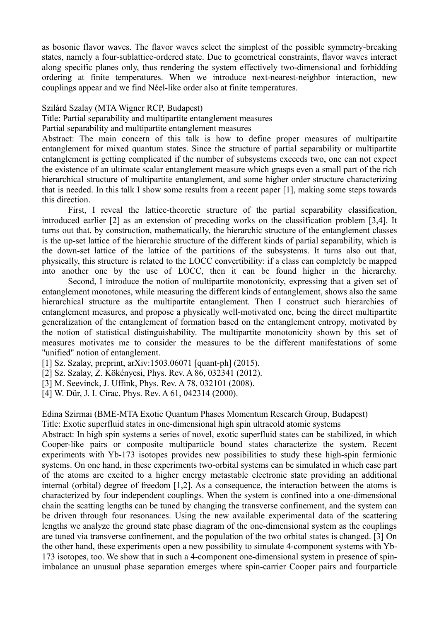as bosonic flavor waves. The flavor waves select the simplest of the possible symmetry-breaking states, namely a four-sublattice-ordered state. Due to geometrical constraints, flavor waves interact along specific planes only, thus rendering the system effectively two-dimensional and forbidding ordering at finite temperatures. When we introduce next-nearest-neighbor interaction, new couplings appear and we find Néel-like order also at finite temperatures.

#### Szilárd Szalay (MTA Wigner RCP, Budapest)

Title: Partial separability and multipartite entanglement measures

Partial separability and multipartite entanglement measures

Abstract: The main concern of this talk is how to define proper measures of multipartite entanglement for mixed quantum states. Since the structure of partial separability or multipartite entanglement is getting complicated if the number of subsystems exceeds two, one can not expect the existence of an ultimate scalar entanglement measure which grasps even a small part of the rich hierarchical structure of multipartite entanglement, and some higher order structure characterizing that is needed. In this talk I show some results from a recent paper [1], making some steps towards this direction.

First, I reveal the lattice-theoretic structure of the partial separability classification, introduced earlier [2] as an extension of preceding works on the classification problem [3,4]. It turns out that, by construction, mathematically, the hierarchic structure of the entanglement classes is the up-set lattice of the hierarchic structure of the different kinds of partial separability, which is the down-set lattice of the lattice of the partitions of the subsystems. It turns also out that, physically, this structure is related to the LOCC convertibility: if a class can completely be mapped into another one by the use of LOCC, then it can be found higher in the hierarchy.

Second, I introduce the notion of multipartite monotonicity, expressing that a given set of entanglement monotones, while measuring the different kinds of entanglement, shows also the same hierarchical structure as the multipartite entanglement. Then I construct such hierarchies of entanglement measures, and propose a physically well-motivated one, being the direct multipartite generalization of the entanglement of formation based on the entanglement entropy, motivated by the notion of statistical distinguishability. The multipartite monotonicity shown by this set of measures motivates me to consider the measures to be the different manifestations of some "unified" notion of entanglement.

[1] Sz. Szalay, preprint, arXiv:1503.06071 [quant-ph] (2015).

[2] Sz. Szalay, Z. Kökényesi, Phys. Rev. A 86, 032341 (2012).

[3] M. Seevinck, J. Uffink, Phys. Rev. A 78, 032101 (2008).

[4] W. Dür, J. I. Cirac, Phys. Rev. A 61, 042314 (2000).

Edina Szirmai (BME-MTA Exotic Quantum Phases Momentum Research Group, Budapest)

Title: Exotic superfluid states in one-dimensional high spin ultracold atomic systems

Abstract: In high spin systems a series of novel, exotic superfluid states can be stabilized, in which Cooper-like pairs or composite multiparticle bound states characterize the system. Recent experiments with Yb-173 isotopes provides new possibilities to study these high-spin fermionic systems. On one hand, in these experiments two-orbital systems can be simulated in which case part of the atoms are excited to a higher energy metastable electronic state providing an additional internal (orbital) degree of freedom [1,2]. As a consequence, the interaction between the atoms is characterized by four independent couplings. When the system is confined into a one-dimensional chain the scatting lengths can be tuned by changing the transverse confinement, and the system can be driven through four resonances. Using the new available experimental data of the scattering lengths we analyze the ground state phase diagram of the one-dimensional system as the couplings are tuned via transverse confinement, and the population of the two orbital states is changed. [3] On the other hand, these experiments open a new possibility to simulate 4-component systems with Yb-173 isotopes, too. We show that in such a 4-component one-dimensional system in presence of spinimbalance an unusual phase separation emerges where spin-carrier Cooper pairs and fourparticle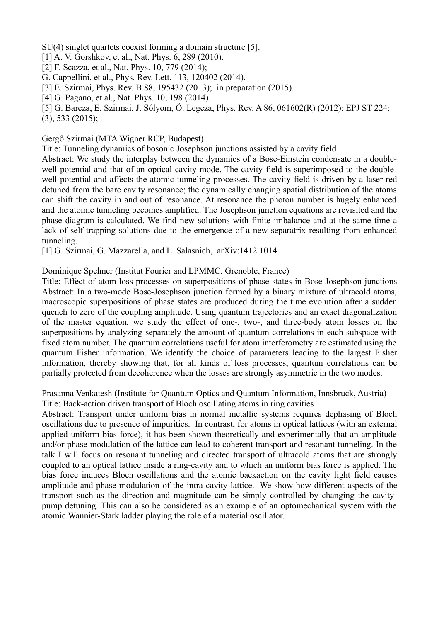SU(4) singlet quartets coexist forming a domain structure [5].

[1] A. V. Gorshkov, et al., Nat. Phys. 6, 289 (2010).

- [2] F. Scazza, et al., Nat. Phys. 10, 779 (2014);
- G. Cappellini, et al., Phys. Rev. Lett. 113, 120402 (2014).
- [3] E. Szirmai, Phys. Rev. B 88, 195432 (2013); in preparation (2015).
- [4] G. Pagano, et al., Nat. Phys. 10, 198 (2014).

[5] G. Barcza, E. Szirmai, J. Sólyom, Ö. Legeza, Phys. Rev. A 86, 061602(R) (2012); EPJ ST 224: (3), 533 (2015);

#### Gergő Szirmai (MTA Wigner RCP, Budapest)

Title: Tunneling dynamics of bosonic Josephson junctions assisted by a cavity field

Abstract: We study the interplay between the dynamics of a Bose-Einstein condensate in a doublewell potential and that of an optical cavity mode. The cavity field is superimposed to the doublewell potential and affects the atomic tunneling processes. The cavity field is driven by a laser red detuned from the bare cavity resonance; the dynamically changing spatial distribution of the atoms can shift the cavity in and out of resonance. At resonance the photon number is hugely enhanced and the atomic tunneling becomes amplified. The Josephson junction equations are revisited and the phase diagram is calculated. We find new solutions with finite imbalance and at the same time a lack of self-trapping solutions due to the emergence of a new separatrix resulting from enhanced tunneling.

[1] G. Szirmai, G. Mazzarella, and L. Salasnich, arXiv:1412.1014

## Dominique Spehner (Institut Fourier and LPMMC, Grenoble, France)

Title: Effect of atom loss processes on superpositions of phase states in Bose-Josephson junctions Abstract: In a two-mode Bose-Josephson junction formed by a binary mixture of ultracold atoms, macroscopic superpositions of phase states are produced during the time evolution after a sudden quench to zero of the coupling amplitude. Using quantum trajectories and an exact diagonalization of the master equation, we study the effect of one-, two-, and three-body atom losses on the superpositions by analyzing separately the amount of quantum correlations in each subspace with fixed atom number. The quantum correlations useful for atom interferometry are estimated using the quantum Fisher information. We identify the choice of parameters leading to the largest Fisher information, thereby showing that, for all kinds of loss processes, quantum correlations can be partially protected from decoherence when the losses are strongly asymmetric in the two modes.

Prasanna Venkatesh (Institute for Quantum Optics and Quantum Information, Innsbruck, Austria) Title: Back-action driven transport of Bloch oscillating atoms in ring cavities

Abstract: Transport under uniform bias in normal metallic systems requires dephasing of Bloch oscillations due to presence of impurities. In contrast, for atoms in optical lattices (with an external applied uniform bias force), it has been shown theoretically and experimentally that an amplitude and/or phase modulation of the lattice can lead to coherent transport and resonant tunneling. In the talk I will focus on resonant tunneling and directed transport of ultracold atoms that are strongly coupled to an optical lattice inside a ring-cavity and to which an uniform bias force is applied. The bias force induces Bloch oscillations and the atomic backaction on the cavity light field causes amplitude and phase modulation of the intra-cavity lattice. We show how different aspects of the transport such as the direction and magnitude can be simply controlled by changing the cavitypump detuning. This can also be considered as an example of an optomechanical system with the atomic Wannier-Stark ladder playing the role of a material oscillator.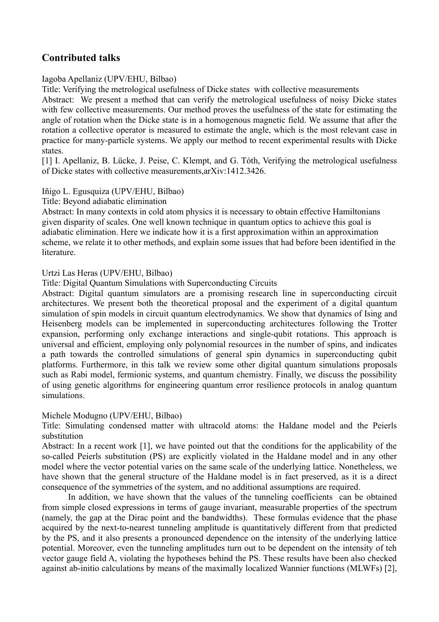# **Contributed talks**

## Iagoba Apellaniz (UPV/EHU, Bilbao)

Title: Verifying the metrological usefulness of Dicke states with collective measurements

Abstract: We present a method that can verify the metrological usefulness of noisy Dicke states with few collective measurements. Our method proves the usefulness of the state for estimating the angle of rotation when the Dicke state is in a homogenous magnetic field. We assume that after the rotation a collective operator is measured to estimate the angle, which is the most relevant case in practice for many-particle systems. We apply our method to recent experimental results with Dicke states.

[1] I. Apellaniz, B. Lücke, J. Peise, C. Klempt, and G. Tóth, Verifying the metrological usefulness of Dicke states with collective measurements,arXiv:1412.3426.

## Iñigo L. Egusquiza (UPV/EHU, Bilbao)

Title: Beyond adiabatic elimination

Abstract: In many contexts in cold atom physics it is necessary to obtain effective Hamiltonians given disparity of scales. One well known technique in quantum optics to achieve this goal is adiabatic elimination. Here we indicate how it is a first approximation within an approximation scheme, we relate it to other methods, and explain some issues that had before been identified in the literature.

## Urtzi Las Heras (UPV/EHU, Bilbao)

Title: Digital Quantum Simulations with Superconducting Circuits

Abstract: Digital quantum simulators are a promising research line in superconducting circuit architectures. We present both the theoretical proposal and the experiment of a digital quantum simulation of spin models in circuit quantum electrodynamics. We show that dynamics of Ising and Heisenberg models can be implemented in superconducting architectures following the Trotter expansion, performing only exchange interactions and single-qubit rotations. This approach is universal and efficient, employing only polynomial resources in the number of spins, and indicates a path towards the controlled simulations of general spin dynamics in superconducting qubit platforms. Furthermore, in this talk we review some other digital quantum simulations proposals such as Rabi model, fermionic systems, and quantum chemistry. Finally, we discuss the possibility of using genetic algorithms for engineering quantum error resilience protocols in analog quantum simulations.

## Michele Modugno (UPV/EHU, Bilbao)

Title: Simulating condensed matter with ultracold atoms: the Haldane model and the Peierls substitution

Abstract: In a recent work [1], we have pointed out that the conditions for the applicability of the so-called Peierls substitution (PS) are explicitly violated in the Haldane model and in any other model where the vector potential varies on the same scale of the underlying lattice. Nonetheless, we have shown that the general structure of the Haldane model is in fact preserved, as it is a direct consequence of the symmetries of the system, and no additional assumptions are required.

In addition, we have shown that the values of the tunneling coefficients can be obtained from simple closed expressions in terms of gauge invariant, measurable properties of the spectrum (namely, the gap at the Dirac point and the bandwidths). These formulas evidence that the phase acquired by the next-to-nearest tunneling amplitude is quantitatively different from that predicted by the PS, and it also presents a pronounced dependence on the intensity of the underlying lattice potential. Moreover, even the tunneling amplitudes turn out to be dependent on the intensity of teh vector gauge field A, violating the hypotheses behind the PS. These results have been also checked against ab-initio calculations by means of the maximally localized Wannier functions (MLWFs) [2],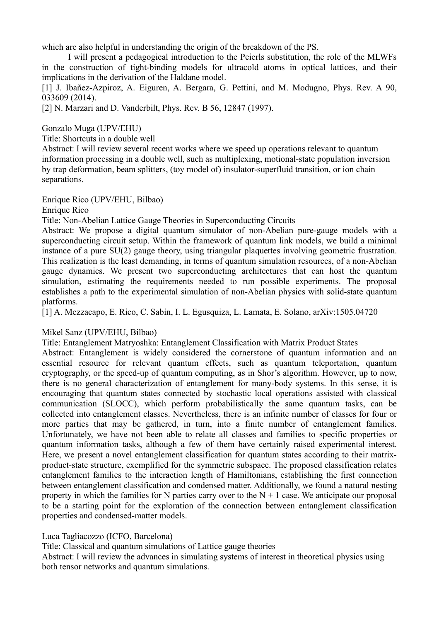which are also helpful in understanding the origin of the breakdown of the PS.

I will present a pedagogical introduction to the Peierls substitution, the role of the MLWFs in the construction of tight-binding models for ultracold atoms in optical lattices, and their implications in the derivation of the Haldane model.

[1] J. Ibañez-Azpiroz, A. Eiguren, A. Bergara, G. Pettini, and M. Modugno, Phys. Rev. A 90, 033609 (2014).

[2] N. Marzari and D. Vanderbilt, Phys. Rev. B 56, 12847 (1997).

Gonzalo Muga (UPV/EHU)

Title: Shortcuts in a double well

Abstract: I will review several recent works where we speed up operations relevant to quantum information processing in a double well, such as multiplexing, motional-state population inversion by trap deformation, beam splitters, (toy model of) insulator-superfluid transition, or ion chain separations.

Enrique Rico (UPV/EHU, Bilbao)

Enrique Rico

Title: Non-Abelian Lattice Gauge Theories in Superconducting Circuits

Abstract: We propose a digital quantum simulator of non-Abelian pure-gauge models with a superconducting circuit setup. Within the framework of quantum link models, we build a minimal instance of a pure SU(2) gauge theory, using triangular plaquettes involving geometric frustration. This realization is the least demanding, in terms of quantum simulation resources, of a non-Abelian gauge dynamics. We present two superconducting architectures that can host the quantum simulation, estimating the requirements needed to run possible experiments. The proposal establishes a path to the experimental simulation of non-Abelian physics with solid-state quantum platforms.

[1] A. Mezzacapo, E. Rico, C. Sabín, I. L. Egusquiza, L. Lamata, E. Solano, arXiv:1505.04720

## Mikel Sanz (UPV/EHU, Bilbao)

Title: Entanglement Matryoshka: Entanglement Classification with Matrix Product States

Abstract: Entanglement is widely considered the cornerstone of quantum information and an essential resource for relevant quantum effects, such as quantum teleportation, quantum cryptography, or the speed-up of quantum computing, as in Shor's algorithm. However, up to now, there is no general characterization of entanglement for many-body systems. In this sense, it is encouraging that quantum states connected by stochastic local operations assisted with classical communication (SLOCC), which perform probabilistically the same quantum tasks, can be collected into entanglement classes. Nevertheless, there is an infinite number of classes for four or more parties that may be gathered, in turn, into a finite number of entanglement families. Unfortunately, we have not been able to relate all classes and families to specific properties or quantum information tasks, although a few of them have certainly raised experimental interest. Here, we present a novel entanglement classification for quantum states according to their matrixproduct-state structure, exemplified for the symmetric subspace. The proposed classification relates entanglement families to the interaction length of Hamiltonians, establishing the first connection between entanglement classification and condensed matter. Additionally, we found a natural nesting property in which the families for N parties carry over to the  $N + 1$  case. We anticipate our proposal to be a starting point for the exploration of the connection between entanglement classification properties and condensed-matter models.

## Luca Tagliacozzo (ICFO, Barcelona)

Title: Classical and quantum simulations of Lattice gauge theories

Abstract: I will review the advances in simulating systems of interest in theoretical physics using both tensor networks and quantum simulations.